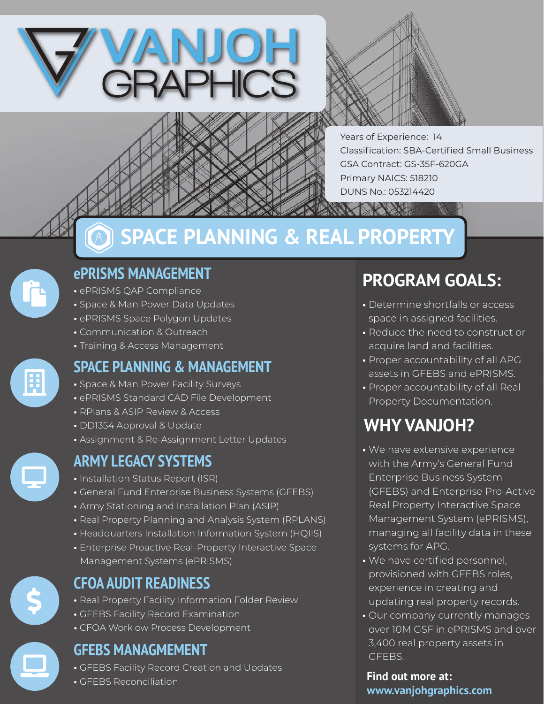



Years of Experience: 14 Classification: SBA-Certified Small Business GSA Contract: GS-35F-620GA Primary NAICS: 518210 DUNS No.: 053214420

## **ePRISMS MANAGEMENT**

- ePRISMS QAP Compliance
- Space & Man Power Data Updates
- ePRISMS Space Polygon Updates
- Communication & Outreach
- Training & Access Management

## **SPACE PLANNING & MANAGEMENT**

**SPACE PLANNING & REAL PROPERTY**

- Space & Man Power Facility Surveys
- ePRISMS Standard CAD File Development
- RPlans & ASIP Review & Access
- DD1354 Approval & Update
- Assignment & Re-Assignment Letter Updates

- Installation Status Report (ISR)
- General Fund Enterprise Business Systems (GFEBS)
- Army Stationing and Installation Plan (ASIP)
- Real Property Planning and Analysis System (RPLANS)
- Headquarters Installation Information System (HQIIS)
- Enterprise Proactive Real-Property Interactive Space Management Systems (ePRISMS)



## **CFOA AUDIT READINESS**

- Real Property Facility Information Folder Review
- GFEBS Facility Record Examination
- CFOA Work ow Process Development

## **GFEBS MANAGMEMENT**

- GFEBS Facility Record Creation and Updates
- GFEBS Reconciliation

# **PROGRAM GOALS:**

- Determine shortfalls or access space in assigned facilities.
- Reduce the need to construct or acquire land and facilities.
- Proper accountability of all APG assets in GFEBS and ePRISMS.
- Proper accountability of all Real Property Documentation.

## **WHY VANJOH?**

- **ARMY LEGACY SYSTEMS •** We have extensive experience with the Army's General Fund Enterprise Business System (GFEBS) and Enterprise Pro-Active Real Property Interactive Space Management System (ePRISMS), managing all facility data in these systems for APG.
	- **•** We have certified personnel, provisioned with GFEBS roles, experience in creating and updating real property records.
	- **•** Our company currently manages over 10M GSF in ePRISMS and over 3,400 real property assets in GFEBS.

**Find out more at: www.vanjohgraphics.com**